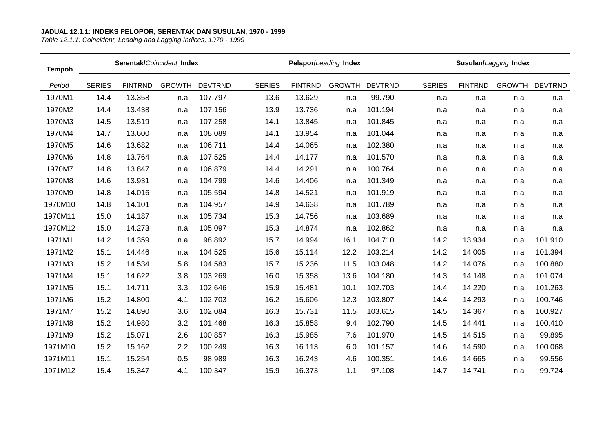| <b>Tempoh</b> |               | Serentak/Coincident Index |               |                |               |                | Pelapor/Leading Index |                |               |                | Susulan/Lagging Index |                |
|---------------|---------------|---------------------------|---------------|----------------|---------------|----------------|-----------------------|----------------|---------------|----------------|-----------------------|----------------|
| Period        | <b>SERIES</b> | <b>FINTRND</b>            | <b>GROWTH</b> | <b>DEVTRND</b> | <b>SERIES</b> | <b>FINTRND</b> | <b>GROWTH</b>         | <b>DEVTRND</b> | <b>SERIES</b> | <b>FINTRND</b> | <b>GROWTH</b>         | <b>DEVTRND</b> |
| 1970M1        | 14.4          | 13.358                    | n.a           | 107.797        | 13.6          | 13.629         | n.a                   | 99.790         | n.a           | n.a            | n.a                   | n.a            |
| 1970M2        | 14.4          | 13.438                    | n.a           | 107.156        | 13.9          | 13.736         | n.a                   | 101.194        | n.a           | n.a            | n.a                   | n.a            |
| 1970M3        | 14.5          | 13.519                    | n.a           | 107.258        | 14.1          | 13.845         | n.a                   | 101.845        | n.a           | n.a            | n.a                   | n.a            |
| 1970M4        | 14.7          | 13.600                    | n.a           | 108.089        | 14.1          | 13.954         | n.a                   | 101.044        | n.a           | n.a            | n.a                   | n.a            |
| 1970M5        | 14.6          | 13.682                    | n.a           | 106.711        | 14.4          | 14.065         | n.a                   | 102.380        | n.a           | n.a            | n.a                   | n.a            |
| 1970M6        | 14.8          | 13.764                    | n.a           | 107.525        | 14.4          | 14.177         | n.a                   | 101.570        | n.a           | n.a            | n.a                   | n.a            |
| 1970M7        | 14.8          | 13.847                    | n.a           | 106.879        | 14.4          | 14.291         | n.a                   | 100.764        | n.a           | n.a            | n.a                   | n.a            |
| 1970M8        | 14.6          | 13.931                    | n.a           | 104.799        | 14.6          | 14.406         | n.a                   | 101.349        | n.a           | n.a            | n.a                   | n.a            |
| 1970M9        | 14.8          | 14.016                    | n.a           | 105.594        | 14.8          | 14.521         | n.a                   | 101.919        | n.a           | n.a            | n.a                   | n.a            |
| 1970M10       | 14.8          | 14.101                    | n.a           | 104.957        | 14.9          | 14.638         | n.a                   | 101.789        | n.a           | n.a            | n.a                   | n.a            |
| 1970M11       | 15.0          | 14.187                    | n.a           | 105.734        | 15.3          | 14.756         | n.a                   | 103.689        | n.a           | n.a            | n.a                   | n.a            |
| 1970M12       | 15.0          | 14.273                    | n.a           | 105.097        | 15.3          | 14.874         | n.a                   | 102.862        | n.a           | n.a            | n.a                   | n.a            |
| 1971M1        | 14.2          | 14.359                    | n.a           | 98.892         | 15.7          | 14.994         | 16.1                  | 104.710        | 14.2          | 13.934         | n.a                   | 101.910        |
| 1971M2        | 15.1          | 14.446                    | n.a           | 104.525        | 15.6          | 15.114         | 12.2                  | 103.214        | 14.2          | 14.005         | n.a                   | 101.394        |
| 1971M3        | 15.2          | 14.534                    | 5.8           | 104.583        | 15.7          | 15.236         | 11.5                  | 103.048        | 14.2          | 14.076         | n.a                   | 100.880        |
| 1971M4        | 15.1          | 14.622                    | 3.8           | 103.269        | 16.0          | 15.358         | 13.6                  | 104.180        | 14.3          | 14.148         | n.a                   | 101.074        |
| 1971M5        | 15.1          | 14.711                    | 3.3           | 102.646        | 15.9          | 15.481         | 10.1                  | 102.703        | 14.4          | 14.220         | n.a                   | 101.263        |
| 1971M6        | 15.2          | 14.800                    | 4.1           | 102.703        | 16.2          | 15.606         | 12.3                  | 103.807        | 14.4          | 14.293         | n.a                   | 100.746        |
| 1971M7        | 15.2          | 14.890                    | 3.6           | 102.084        | 16.3          | 15.731         | 11.5                  | 103.615        | 14.5          | 14.367         | n.a                   | 100.927        |
| 1971M8        | 15.2          | 14.980                    | 3.2           | 101.468        | 16.3          | 15.858         | 9.4                   | 102.790        | 14.5          | 14.441         | n.a                   | 100.410        |
| 1971M9        | 15.2          | 15.071                    | 2.6           | 100.857        | 16.3          | 15.985         | 7.6                   | 101.970        | 14.5          | 14.515         | n.a                   | 99.895         |
| 1971M10       | 15.2          | 15.162                    | 2.2           | 100.249        | 16.3          | 16.113         | 6.0                   | 101.157        | 14.6          | 14.590         | n.a                   | 100.068        |
| 1971M11       | 15.1          | 15.254                    | 0.5           | 98.989         | 16.3          | 16.243         | 4.6                   | 100.351        | 14.6          | 14.665         | n.a                   | 99.556         |
| 1971M12       | 15.4          | 15.347                    | 4.1           | 100.347        | 15.9          | 16.373         | $-1.1$                | 97.108         | 14.7          | 14.741         | n.a                   | 99.724         |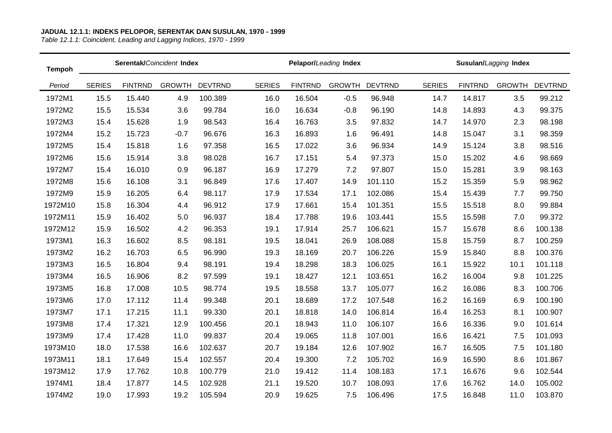| <b>Tempoh</b> |               |                | Serentak/Coincident Index |                |               |                | Pelapor/Leading Index |                |               |                | Susulan/Lagging Index |                |
|---------------|---------------|----------------|---------------------------|----------------|---------------|----------------|-----------------------|----------------|---------------|----------------|-----------------------|----------------|
| Period        | <b>SERIES</b> | <b>FINTRND</b> | <b>GROWTH</b>             | <b>DEVTRND</b> | <b>SERIES</b> | <b>FINTRND</b> | <b>GROWTH</b>         | <b>DEVTRND</b> | <b>SERIES</b> | <b>FINTRND</b> | <b>GROWTH</b>         | <b>DEVTRND</b> |
| 1972M1        | 15.5          | 15.440         | 4.9                       | 100.389        | 16.0          | 16.504         | $-0.5$                | 96.948         | 14.7          | 14.817         | 3.5                   | 99.212         |
| 1972M2        | 15.5          | 15.534         | 3.6                       | 99.784         | 16.0          | 16.634         | $-0.8$                | 96.190         | 14.8          | 14.893         | 4.3                   | 99.375         |
| 1972M3        | 15.4          | 15.628         | 1.9                       | 98.543         | 16.4          | 16.763         | 3.5                   | 97.832         | 14.7          | 14.970         | 2.3                   | 98.198         |
| 1972M4        | 15.2          | 15.723         | $-0.7$                    | 96.676         | 16.3          | 16.893         | 1.6                   | 96.491         | 14.8          | 15.047         | 3.1                   | 98.359         |
| 1972M5        | 15.4          | 15.818         | 1.6                       | 97.358         | 16.5          | 17.022         | 3.6                   | 96.934         | 14.9          | 15.124         | 3.8                   | 98.516         |
| 1972M6        | 15.6          | 15.914         | 3.8                       | 98.028         | 16.7          | 17.151         | 5.4                   | 97.373         | 15.0          | 15.202         | 4.6                   | 98.669         |
| 1972M7        | 15.4          | 16.010         | 0.9                       | 96.187         | 16.9          | 17.279         | 7.2                   | 97.807         | 15.0          | 15.281         | 3.9                   | 98.163         |
| 1972M8        | 15.6          | 16.108         | 3.1                       | 96.849         | 17.6          | 17.407         | 14.9                  | 101.110        | 15.2          | 15.359         | 5.9                   | 98.962         |
| 1972M9        | 15.9          | 16.205         | 6.4                       | 98.117         | 17.9          | 17.534         | 17.1                  | 102.086        | 15.4          | 15.439         | 7.7                   | 99.750         |
| 1972M10       | 15.8          | 16.304         | 4.4                       | 96.912         | 17.9          | 17.661         | 15.4                  | 101.351        | 15.5          | 15.518         | 8.0                   | 99.884         |
| 1972M11       | 15.9          | 16.402         | 5.0                       | 96.937         | 18.4          | 17.788         | 19.6                  | 103.441        | 15.5          | 15.598         | 7.0                   | 99.372         |
| 1972M12       | 15.9          | 16.502         | 4.2                       | 96.353         | 19.1          | 17.914         | 25.7                  | 106.621        | 15.7          | 15.678         | 8.6                   | 100.138        |
| 1973M1        | 16.3          | 16.602         | 8.5                       | 98.181         | 19.5          | 18.041         | 26.9                  | 108.088        | 15.8          | 15.759         | 8.7                   | 100.259        |
| 1973M2        | 16.2          | 16.703         | 6.5                       | 96.990         | 19.3          | 18.169         | 20.7                  | 106.226        | 15.9          | 15.840         | 8.8                   | 100.376        |
| 1973M3        | 16.5          | 16.804         | 9.4                       | 98.191         | 19.4          | 18.298         | 18.3                  | 106.025        | 16.1          | 15.922         | 10.1                  | 101.118        |
| 1973M4        | 16.5          | 16.906         | 8.2                       | 97.599         | 19.1          | 18.427         | 12.1                  | 103.651        | 16.2          | 16.004         | 9.8                   | 101.225        |
| 1973M5        | 16.8          | 17.008         | 10.5                      | 98.774         | 19.5          | 18.558         | 13.7                  | 105.077        | 16.2          | 16.086         | 8.3                   | 100.706        |
| 1973M6        | 17.0          | 17.112         | 11.4                      | 99.348         | 20.1          | 18.689         | 17.2                  | 107.548        | 16.2          | 16.169         | 6.9                   | 100.190        |
| 1973M7        | 17.1          | 17.215         | 11.1                      | 99.330         | 20.1          | 18.818         | 14.0                  | 106.814        | 16.4          | 16.253         | 8.1                   | 100.907        |
| 1973M8        | 17.4          | 17.321         | 12.9                      | 100.456        | 20.1          | 18.943         | 11.0                  | 106.107        | 16.6          | 16.336         | 9.0                   | 101.614        |
| 1973M9        | 17.4          | 17.428         | 11.0                      | 99.837         | 20.4          | 19.065         | 11.8                  | 107.001        | 16.6          | 16.421         | 7.5                   | 101.093        |
| 1973M10       | 18.0          | 17.538         | 16.6                      | 102.637        | 20.7          | 19.184         | 12.6                  | 107.902        | 16.7          | 16.505         | 7.5                   | 101.180        |
| 1973M11       | 18.1          | 17.649         | 15.4                      | 102.557        | 20.4          | 19.300         | 7.2                   | 105.702        | 16.9          | 16.590         | 8.6                   | 101.867        |
| 1973M12       | 17.9          | 17.762         | 10.8                      | 100.779        | 21.0          | 19.412         | 11.4                  | 108.183        | 17.1          | 16.676         | 9.6                   | 102.544        |
| 1974M1        | 18.4          | 17.877         | 14.5                      | 102.928        | 21.1          | 19.520         | 10.7                  | 108.093        | 17.6          | 16.762         | 14.0                  | 105.002        |
| 1974M2        | 19.0          | 17.993         | 19.2                      | 105.594        | 20.9          | 19.625         | 7.5                   | 106.496        | 17.5          | 16.848         | 11.0                  | 103.870        |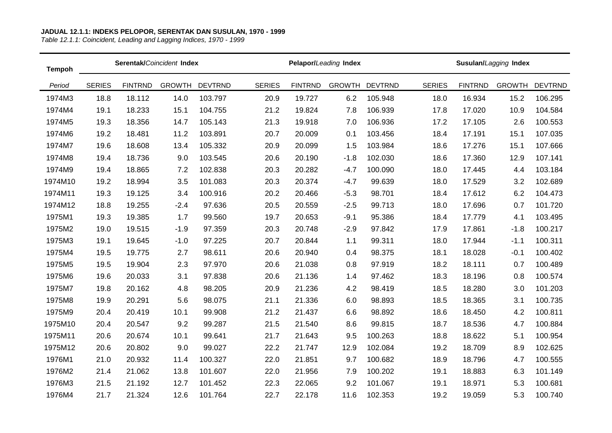| <b>Tempoh</b> |               |                | Serentak/Coincident Index |                |               |                | Pelapor/Leading Index |                |               |                | Susulan/Lagging Index |                |
|---------------|---------------|----------------|---------------------------|----------------|---------------|----------------|-----------------------|----------------|---------------|----------------|-----------------------|----------------|
| Period        | <b>SERIES</b> | <b>FINTRND</b> | <b>GROWTH</b>             | <b>DEVTRND</b> | <b>SERIES</b> | <b>FINTRND</b> | <b>GROWTH</b>         | <b>DEVTRND</b> | <b>SERIES</b> | <b>FINTRND</b> | <b>GROWTH</b>         | <b>DEVTRND</b> |
| 1974M3        | 18.8          | 18.112         | 14.0                      | 103.797        | 20.9          | 19.727         | 6.2                   | 105.948        | 18.0          | 16.934         | 15.2                  | 106.295        |
| 1974M4        | 19.1          | 18.233         | 15.1                      | 104.755        | 21.2          | 19.824         | 7.8                   | 106.939        | 17.8          | 17.020         | 10.9                  | 104.584        |
| 1974M5        | 19.3          | 18.356         | 14.7                      | 105.143        | 21.3          | 19.918         | 7.0                   | 106.936        | 17.2          | 17.105         | 2.6                   | 100.553        |
| 1974M6        | 19.2          | 18.481         | 11.2                      | 103.891        | 20.7          | 20.009         | 0.1                   | 103.456        | 18.4          | 17.191         | 15.1                  | 107.035        |
| 1974M7        | 19.6          | 18.608         | 13.4                      | 105.332        | 20.9          | 20.099         | 1.5                   | 103.984        | 18.6          | 17.276         | 15.1                  | 107.666        |
| 1974M8        | 19.4          | 18.736         | 9.0                       | 103.545        | 20.6          | 20.190         | $-1.8$                | 102.030        | 18.6          | 17.360         | 12.9                  | 107.141        |
| 1974M9        | 19.4          | 18.865         | 7.2                       | 102.838        | 20.3          | 20.282         | $-4.7$                | 100.090        | 18.0          | 17.445         | 4.4                   | 103.184        |
| 1974M10       | 19.2          | 18.994         | 3.5                       | 101.083        | 20.3          | 20.374         | $-4.7$                | 99.639         | 18.0          | 17.529         | 3.2                   | 102.689        |
| 1974M11       | 19.3          | 19.125         | 3.4                       | 100.916        | 20.2          | 20.466         | $-5.3$                | 98.701         | 18.4          | 17.612         | 6.2                   | 104.473        |
| 1974M12       | 18.8          | 19.255         | $-2.4$                    | 97.636         | 20.5          | 20.559         | $-2.5$                | 99.713         | 18.0          | 17.696         | 0.7                   | 101.720        |
| 1975M1        | 19.3          | 19.385         | 1.7                       | 99.560         | 19.7          | 20.653         | $-9.1$                | 95.386         | 18.4          | 17.779         | 4.1                   | 103.495        |
| 1975M2        | 19.0          | 19.515         | $-1.9$                    | 97.359         | 20.3          | 20.748         | $-2.9$                | 97.842         | 17.9          | 17.861         | $-1.8$                | 100.217        |
| 1975M3        | 19.1          | 19.645         | $-1.0$                    | 97.225         | 20.7          | 20.844         | 1.1                   | 99.311         | 18.0          | 17.944         | $-1.1$                | 100.311        |
| 1975M4        | 19.5          | 19.775         | 2.7                       | 98.611         | 20.6          | 20.940         | 0.4                   | 98.375         | 18.1          | 18.028         | $-0.1$                | 100.402        |
| 1975M5        | 19.5          | 19.904         | 2.3                       | 97.970         | 20.6          | 21.038         | 0.8                   | 97.919         | 18.2          | 18.111         | 0.7                   | 100.489        |
| 1975M6        | 19.6          | 20.033         | 3.1                       | 97.838         | 20.6          | 21.136         | 1.4                   | 97.462         | 18.3          | 18.196         | 0.8                   | 100.574        |
| 1975M7        | 19.8          | 20.162         | 4.8                       | 98.205         | 20.9          | 21.236         | 4.2                   | 98.419         | 18.5          | 18.280         | 3.0                   | 101.203        |
| 1975M8        | 19.9          | 20.291         | 5.6                       | 98.075         | 21.1          | 21.336         | 6.0                   | 98.893         | 18.5          | 18.365         | 3.1                   | 100.735        |
| 1975M9        | 20.4          | 20.419         | 10.1                      | 99.908         | 21.2          | 21.437         | 6.6                   | 98.892         | 18.6          | 18.450         | 4.2                   | 100.811        |
| 1975M10       | 20.4          | 20.547         | 9.2                       | 99.287         | 21.5          | 21.540         | 8.6                   | 99.815         | 18.7          | 18.536         | 4.7                   | 100.884        |
| 1975M11       | 20.6          | 20.674         | 10.1                      | 99.641         | 21.7          | 21.643         | 9.5                   | 100.263        | 18.8          | 18.622         | 5.1                   | 100.954        |
| 1975M12       | 20.6          | 20.802         | 9.0                       | 99.027         | 22.2          | 21.747         | 12.9                  | 102.084        | 19.2          | 18.709         | 8.9                   | 102.625        |
| 1976M1        | 21.0          | 20.932         | 11.4                      | 100.327        | 22.0          | 21.851         | 9.7                   | 100.682        | 18.9          | 18.796         | 4.7                   | 100.555        |
| 1976M2        | 21.4          | 21.062         | 13.8                      | 101.607        | 22.0          | 21.956         | 7.9                   | 100.202        | 19.1          | 18.883         | 6.3                   | 101.149        |
| 1976M3        | 21.5          | 21.192         | 12.7                      | 101.452        | 22.3          | 22.065         | 9.2                   | 101.067        | 19.1          | 18.971         | 5.3                   | 100.681        |
| 1976M4        | 21.7          | 21.324         | 12.6                      | 101.764        | 22.7          | 22.178         | 11.6                  | 102.353        | 19.2          | 19.059         | 5.3                   | 100.740        |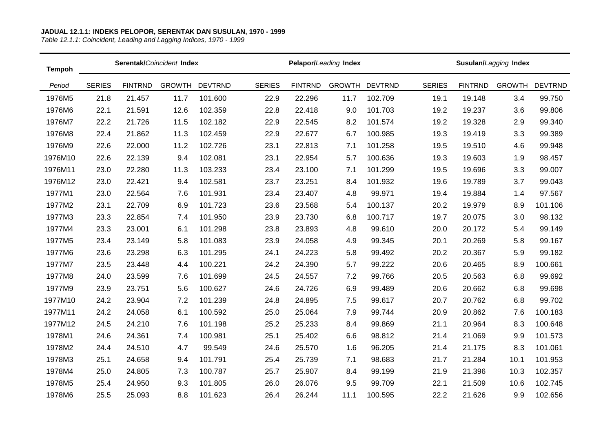| <b>Tempoh</b> |               |                | Serentak/Coincident Index |                |               |                | Pelapor/Leading Index |                |               |                | Susulan/Lagging Index |                |
|---------------|---------------|----------------|---------------------------|----------------|---------------|----------------|-----------------------|----------------|---------------|----------------|-----------------------|----------------|
| Period        | <b>SERIES</b> | <b>FINTRND</b> | <b>GROWTH</b>             | <b>DEVTRND</b> | <b>SERIES</b> | <b>FINTRND</b> | <b>GROWTH</b>         | <b>DEVTRND</b> | <b>SERIES</b> | <b>FINTRND</b> | <b>GROWTH</b>         | <b>DEVTRND</b> |
| 1976M5        | 21.8          | 21.457         | 11.7                      | 101.600        | 22.9          | 22.296         | 11.7                  | 102.709        | 19.1          | 19.148         | 3.4                   | 99.750         |
| 1976M6        | 22.1          | 21.591         | 12.6                      | 102.359        | 22.8          | 22.418         | 9.0                   | 101.703        | 19.2          | 19.237         | 3.6                   | 99.806         |
| 1976M7        | 22.2          | 21.726         | 11.5                      | 102.182        | 22.9          | 22.545         | 8.2                   | 101.574        | 19.2          | 19.328         | 2.9                   | 99.340         |
| 1976M8        | 22.4          | 21.862         | 11.3                      | 102.459        | 22.9          | 22.677         | 6.7                   | 100.985        | 19.3          | 19.419         | 3.3                   | 99.389         |
| 1976M9        | 22.6          | 22.000         | 11.2                      | 102.726        | 23.1          | 22.813         | 7.1                   | 101.258        | 19.5          | 19.510         | 4.6                   | 99.948         |
| 1976M10       | 22.6          | 22.139         | 9.4                       | 102.081        | 23.1          | 22.954         | 5.7                   | 100.636        | 19.3          | 19.603         | 1.9                   | 98.457         |
| 1976M11       | 23.0          | 22.280         | 11.3                      | 103.233        | 23.4          | 23.100         | 7.1                   | 101.299        | 19.5          | 19.696         | 3.3                   | 99.007         |
| 1976M12       | 23.0          | 22.421         | 9.4                       | 102.581        | 23.7          | 23.251         | 8.4                   | 101.932        | 19.6          | 19.789         | 3.7                   | 99.043         |
| 1977M1        | 23.0          | 22.564         | 7.6                       | 101.931        | 23.4          | 23.407         | 4.8                   | 99.971         | 19.4          | 19.884         | 1.4                   | 97.567         |
| 1977M2        | 23.1          | 22.709         | 6.9                       | 101.723        | 23.6          | 23.568         | 5.4                   | 100.137        | 20.2          | 19.979         | 8.9                   | 101.106        |
| 1977M3        | 23.3          | 22.854         | 7.4                       | 101.950        | 23.9          | 23.730         | 6.8                   | 100.717        | 19.7          | 20.075         | 3.0                   | 98.132         |
| 1977M4        | 23.3          | 23.001         | 6.1                       | 101.298        | 23.8          | 23.893         | 4.8                   | 99.610         | 20.0          | 20.172         | 5.4                   | 99.149         |
| 1977M5        | 23.4          | 23.149         | 5.8                       | 101.083        | 23.9          | 24.058         | 4.9                   | 99.345         | 20.1          | 20.269         | 5.8                   | 99.167         |
| 1977M6        | 23.6          | 23.298         | 6.3                       | 101.295        | 24.1          | 24.223         | 5.8                   | 99.492         | 20.2          | 20.367         | 5.9                   | 99.182         |
| 1977M7        | 23.5          | 23.448         | 4.4                       | 100.221        | 24.2          | 24.390         | 5.7                   | 99.222         | 20.6          | 20.465         | 8.9                   | 100.661        |
| 1977M8        | 24.0          | 23.599         | 7.6                       | 101.699        | 24.5          | 24.557         | 7.2                   | 99.766         | 20.5          | 20.563         | 6.8                   | 99.692         |
| 1977M9        | 23.9          | 23.751         | 5.6                       | 100.627        | 24.6          | 24.726         | 6.9                   | 99.489         | 20.6          | 20.662         | 6.8                   | 99.698         |
| 1977M10       | 24.2          | 23.904         | 7.2                       | 101.239        | 24.8          | 24.895         | 7.5                   | 99.617         | 20.7          | 20.762         | 6.8                   | 99.702         |
| 1977M11       | 24.2          | 24.058         | 6.1                       | 100.592        | 25.0          | 25.064         | 7.9                   | 99.744         | 20.9          | 20.862         | 7.6                   | 100.183        |
| 1977M12       | 24.5          | 24.210         | 7.6                       | 101.198        | 25.2          | 25.233         | 8.4                   | 99.869         | 21.1          | 20.964         | 8.3                   | 100.648        |
| 1978M1        | 24.6          | 24.361         | 7.4                       | 100.981        | 25.1          | 25.402         | 6.6                   | 98.812         | 21.4          | 21.069         | 9.9                   | 101.573        |
| 1978M2        | 24.4          | 24.510         | 4.7                       | 99.549         | 24.6          | 25.570         | 1.6                   | 96.205         | 21.4          | 21.175         | 8.3                   | 101.061        |
| 1978M3        | 25.1          | 24.658         | 9.4                       | 101.791        | 25.4          | 25.739         | 7.1                   | 98.683         | 21.7          | 21.284         | 10.1                  | 101.953        |
| 1978M4        | 25.0          | 24.805         | 7.3                       | 100.787        | 25.7          | 25.907         | 8.4                   | 99.199         | 21.9          | 21.396         | 10.3                  | 102.357        |
| 1978M5        | 25.4          | 24.950         | 9.3                       | 101.805        | 26.0          | 26.076         | 9.5                   | 99.709         | 22.1          | 21.509         | 10.6                  | 102.745        |
| 1978M6        | 25.5          | 25.093         | 8.8                       | 101.623        | 26.4          | 26.244         | 11.1                  | 100.595        | 22.2          | 21.626         | 9.9                   | 102.656        |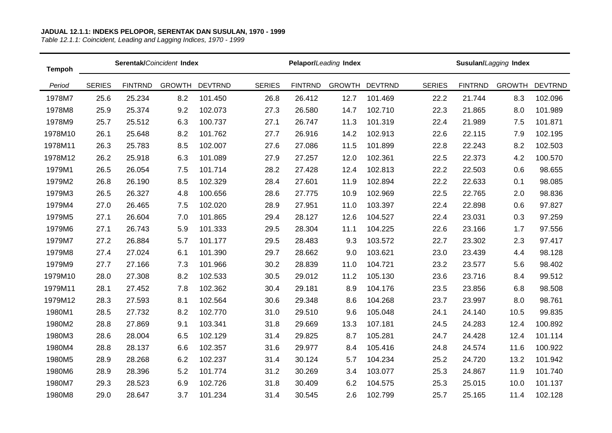| <b>Tempoh</b> |               |                | Serentak/Coincident Index |                |               |                | Pelapor/Leading Index |                |               |                | Susulan/Lagging Index |                |
|---------------|---------------|----------------|---------------------------|----------------|---------------|----------------|-----------------------|----------------|---------------|----------------|-----------------------|----------------|
| Period        | <b>SERIES</b> | <b>FINTRND</b> | <b>GROWTH</b>             | <b>DEVTRND</b> | <b>SERIES</b> | <b>FINTRND</b> | <b>GROWTH</b>         | <b>DEVTRND</b> | <b>SERIES</b> | <b>FINTRND</b> | <b>GROWTH</b>         | <b>DEVTRND</b> |
| 1978M7        | 25.6          | 25.234         | 8.2                       | 101.450        | 26.8          | 26.412         | 12.7                  | 101.469        | 22.2          | 21.744         | 8.3                   | 102.096        |
| 1978M8        | 25.9          | 25.374         | 9.2                       | 102.073        | 27.3          | 26.580         | 14.7                  | 102.710        | 22.3          | 21.865         | 8.0                   | 101.989        |
| 1978M9        | 25.7          | 25.512         | 6.3                       | 100.737        | 27.1          | 26.747         | 11.3                  | 101.319        | 22.4          | 21.989         | 7.5                   | 101.871        |
| 1978M10       | 26.1          | 25.648         | 8.2                       | 101.762        | 27.7          | 26.916         | 14.2                  | 102.913        | 22.6          | 22.115         | 7.9                   | 102.195        |
| 1978M11       | 26.3          | 25.783         | 8.5                       | 102.007        | 27.6          | 27.086         | 11.5                  | 101.899        | 22.8          | 22.243         | 8.2                   | 102.503        |
| 1978M12       | 26.2          | 25.918         | 6.3                       | 101.089        | 27.9          | 27.257         | 12.0                  | 102.361        | 22.5          | 22.373         | 4.2                   | 100.570        |
| 1979M1        | 26.5          | 26.054         | 7.5                       | 101.714        | 28.2          | 27.428         | 12.4                  | 102.813        | 22.2          | 22.503         | 0.6                   | 98.655         |
| 1979M2        | 26.8          | 26.190         | 8.5                       | 102.329        | 28.4          | 27.601         | 11.9                  | 102.894        | 22.2          | 22.633         | 0.1                   | 98.085         |
| 1979M3        | 26.5          | 26.327         | 4.8                       | 100.656        | 28.6          | 27.775         | 10.9                  | 102.969        | 22.5          | 22.765         | 2.0                   | 98.836         |
| 1979M4        | 27.0          | 26.465         | 7.5                       | 102.020        | 28.9          | 27.951         | 11.0                  | 103.397        | 22.4          | 22.898         | 0.6                   | 97.827         |
| 1979M5        | 27.1          | 26.604         | 7.0                       | 101.865        | 29.4          | 28.127         | 12.6                  | 104.527        | 22.4          | 23.031         | 0.3                   | 97.259         |
| 1979M6        | 27.1          | 26.743         | 5.9                       | 101.333        | 29.5          | 28.304         | 11.1                  | 104.225        | 22.6          | 23.166         | 1.7                   | 97.556         |
| 1979M7        | 27.2          | 26.884         | 5.7                       | 101.177        | 29.5          | 28.483         | 9.3                   | 103.572        | 22.7          | 23.302         | 2.3                   | 97.417         |
| 1979M8        | 27.4          | 27.024         | 6.1                       | 101.390        | 29.7          | 28.662         | 9.0                   | 103.621        | 23.0          | 23.439         | 4.4                   | 98.128         |
| 1979M9        | 27.7          | 27.166         | 7.3                       | 101.966        | 30.2          | 28.839         | 11.0                  | 104.721        | 23.2          | 23.577         | 5.6                   | 98.402         |
| 1979M10       | 28.0          | 27.308         | 8.2                       | 102.533        | 30.5          | 29.012         | 11.2                  | 105.130        | 23.6          | 23.716         | 8.4                   | 99.512         |
| 1979M11       | 28.1          | 27.452         | 7.8                       | 102.362        | 30.4          | 29.181         | 8.9                   | 104.176        | 23.5          | 23.856         | 6.8                   | 98.508         |
| 1979M12       | 28.3          | 27.593         | 8.1                       | 102.564        | 30.6          | 29.348         | 8.6                   | 104.268        | 23.7          | 23.997         | 8.0                   | 98.761         |
| 1980M1        | 28.5          | 27.732         | 8.2                       | 102.770        | 31.0          | 29.510         | 9.6                   | 105.048        | 24.1          | 24.140         | 10.5                  | 99.835         |
| 1980M2        | 28.8          | 27.869         | 9.1                       | 103.341        | 31.8          | 29.669         | 13.3                  | 107.181        | 24.5          | 24.283         | 12.4                  | 100.892        |
| 1980M3        | 28.6          | 28.004         | 6.5                       | 102.129        | 31.4          | 29.825         | 8.7                   | 105.281        | 24.7          | 24.428         | 12.4                  | 101.114        |
| 1980M4        | 28.8          | 28.137         | 6.6                       | 102.357        | 31.6          | 29.977         | 8.4                   | 105.416        | 24.8          | 24.574         | 11.6                  | 100.922        |
| 1980M5        | 28.9          | 28.268         | 6.2                       | 102.237        | 31.4          | 30.124         | 5.7                   | 104.234        | 25.2          | 24.720         | 13.2                  | 101.942        |
| 1980M6        | 28.9          | 28.396         | 5.2                       | 101.774        | 31.2          | 30.269         | 3.4                   | 103.077        | 25.3          | 24.867         | 11.9                  | 101.740        |
| 1980M7        | 29.3          | 28.523         | 6.9                       | 102.726        | 31.8          | 30.409         | 6.2                   | 104.575        | 25.3          | 25.015         | 10.0                  | 101.137        |
| 1980M8        | 29.0          | 28.647         | 3.7                       | 101.234        | 31.4          | 30.545         | 2.6                   | 102.799        | 25.7          | 25.165         | 11.4                  | 102.128        |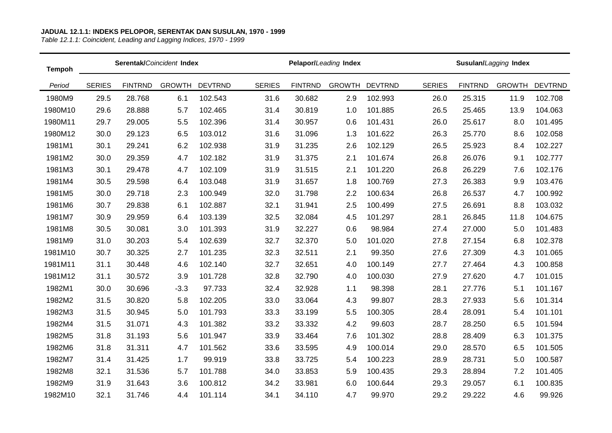| <b>Tempoh</b> |               |                | Serentak/Coincident Index |                |               |                | Pelapor/Leading Index |                |               |                | Susulan/Lagging Index |                |
|---------------|---------------|----------------|---------------------------|----------------|---------------|----------------|-----------------------|----------------|---------------|----------------|-----------------------|----------------|
| Period        | <b>SERIES</b> | <b>FINTRND</b> | <b>GROWTH</b>             | <b>DEVTRND</b> | <b>SERIES</b> | <b>FINTRND</b> | <b>GROWTH</b>         | <b>DEVTRND</b> | <b>SERIES</b> | <b>FINTRND</b> | <b>GROWTH</b>         | <b>DEVTRND</b> |
| 1980M9        | 29.5          | 28.768         | 6.1                       | 102.543        | 31.6          | 30.682         | 2.9                   | 102.993        | 26.0          | 25.315         | 11.9                  | 102.708        |
| 1980M10       | 29.6          | 28.888         | 5.7                       | 102.465        | 31.4          | 30.819         | 1.0                   | 101.885        | 26.5          | 25.465         | 13.9                  | 104.063        |
| 1980M11       | 29.7          | 29.005         | 5.5                       | 102.396        | 31.4          | 30.957         | 0.6                   | 101.431        | 26.0          | 25.617         | 8.0                   | 101.495        |
| 1980M12       | 30.0          | 29.123         | 6.5                       | 103.012        | 31.6          | 31.096         | 1.3                   | 101.622        | 26.3          | 25.770         | 8.6                   | 102.058        |
| 1981M1        | 30.1          | 29.241         | 6.2                       | 102.938        | 31.9          | 31.235         | 2.6                   | 102.129        | 26.5          | 25.923         | 8.4                   | 102.227        |
| 1981M2        | 30.0          | 29.359         | 4.7                       | 102.182        | 31.9          | 31.375         | 2.1                   | 101.674        | 26.8          | 26.076         | 9.1                   | 102.777        |
| 1981M3        | 30.1          | 29.478         | 4.7                       | 102.109        | 31.9          | 31.515         | 2.1                   | 101.220        | 26.8          | 26.229         | 7.6                   | 102.176        |
| 1981M4        | 30.5          | 29.598         | 6.4                       | 103.048        | 31.9          | 31.657         | 1.8                   | 100.769        | 27.3          | 26.383         | 9.9                   | 103.476        |
| 1981M5        | 30.0          | 29.718         | 2.3                       | 100.949        | 32.0          | 31.798         | 2.2                   | 100.634        | 26.8          | 26.537         | 4.7                   | 100.992        |
| 1981M6        | 30.7          | 29.838         | 6.1                       | 102.887        | 32.1          | 31.941         | 2.5                   | 100.499        | 27.5          | 26.691         | 8.8                   | 103.032        |
| 1981M7        | 30.9          | 29.959         | 6.4                       | 103.139        | 32.5          | 32.084         | 4.5                   | 101.297        | 28.1          | 26.845         | 11.8                  | 104.675        |
| 1981M8        | 30.5          | 30.081         | 3.0                       | 101.393        | 31.9          | 32.227         | 0.6                   | 98.984         | 27.4          | 27.000         | 5.0                   | 101.483        |
| 1981M9        | 31.0          | 30.203         | 5.4                       | 102.639        | 32.7          | 32.370         | 5.0                   | 101.020        | 27.8          | 27.154         | 6.8                   | 102.378        |
| 1981M10       | 30.7          | 30.325         | 2.7                       | 101.235        | 32.3          | 32.511         | 2.1                   | 99.350         | 27.6          | 27.309         | 4.3                   | 101.065        |
| 1981M11       | 31.1          | 30.448         | 4.6                       | 102.140        | 32.7          | 32.651         | 4.0                   | 100.149        | 27.7          | 27.464         | 4.3                   | 100.858        |
| 1981M12       | 31.1          | 30.572         | 3.9                       | 101.728        | 32.8          | 32.790         | 4.0                   | 100.030        | 27.9          | 27.620         | 4.7                   | 101.015        |
| 1982M1        | 30.0          | 30.696         | $-3.3$                    | 97.733         | 32.4          | 32.928         | 1.1                   | 98.398         | 28.1          | 27.776         | 5.1                   | 101.167        |
| 1982M2        | 31.5          | 30.820         | 5.8                       | 102.205        | 33.0          | 33.064         | 4.3                   | 99.807         | 28.3          | 27.933         | 5.6                   | 101.314        |
| 1982M3        | 31.5          | 30.945         | 5.0                       | 101.793        | 33.3          | 33.199         | 5.5                   | 100.305        | 28.4          | 28.091         | 5.4                   | 101.101        |
| 1982M4        | 31.5          | 31.071         | 4.3                       | 101.382        | 33.2          | 33.332         | 4.2                   | 99.603         | 28.7          | 28.250         | 6.5                   | 101.594        |
| 1982M5        | 31.8          | 31.193         | 5.6                       | 101.947        | 33.9          | 33.464         | 7.6                   | 101.302        | 28.8          | 28.409         | 6.3                   | 101.375        |
| 1982M6        | 31.8          | 31.311         | 4.7                       | 101.562        | 33.6          | 33.595         | 4.9                   | 100.014        | 29.0          | 28.570         | 6.5                   | 101.505        |
| 1982M7        | 31.4          | 31.425         | 1.7                       | 99.919         | 33.8          | 33.725         | 5.4                   | 100.223        | 28.9          | 28.731         | 5.0                   | 100.587        |
| 1982M8        | 32.1          | 31.536         | 5.7                       | 101.788        | 34.0          | 33.853         | 5.9                   | 100.435        | 29.3          | 28.894         | 7.2                   | 101.405        |
| 1982M9        | 31.9          | 31.643         | 3.6                       | 100.812        | 34.2          | 33.981         | 6.0                   | 100.644        | 29.3          | 29.057         | 6.1                   | 100.835        |
| 1982M10       | 32.1          | 31.746         | 4.4                       | 101.114        | 34.1          | 34.110         | 4.7                   | 99.970         | 29.2          | 29.222         | 4.6                   | 99.926         |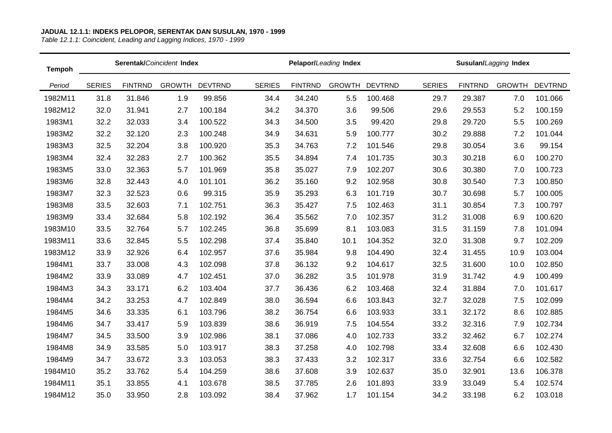| <b>Tempoh</b> |               |                | Serentak/Coincident Index |                |               |                | Pelapor/Leading Index |                |               |                | Susulan/Lagging Index |                |
|---------------|---------------|----------------|---------------------------|----------------|---------------|----------------|-----------------------|----------------|---------------|----------------|-----------------------|----------------|
| Period        | <b>SERIES</b> | <b>FINTRND</b> | <b>GROWTH</b>             | <b>DEVTRND</b> | <b>SERIES</b> | <b>FINTRND</b> | <b>GROWTH</b>         | <b>DEVTRND</b> | <b>SERIES</b> | <b>FINTRND</b> | <b>GROWTH</b>         | <b>DEVTRND</b> |
| 1982M11       | 31.8          | 31.846         | 1.9                       | 99.856         | 34.4          | 34.240         | 5.5                   | 100.468        | 29.7          | 29.387         | 7.0                   | 101.066        |
| 1982M12       | 32.0          | 31.941         | 2.7                       | 100.184        | 34.2          | 34.370         | 3.6                   | 99.506         | 29.6          | 29.553         | 5.2                   | 100.159        |
| 1983M1        | 32.2          | 32.033         | 3.4                       | 100.522        | 34.3          | 34.500         | 3.5                   | 99.420         | 29.8          | 29.720         | 5.5                   | 100.269        |
| 1983M2        | 32.2          | 32.120         | 2.3                       | 100.248        | 34.9          | 34.631         | 5.9                   | 100.777        | 30.2          | 29.888         | 7.2                   | 101.044        |
| 1983M3        | 32.5          | 32.204         | 3.8                       | 100.920        | 35.3          | 34.763         | 7.2                   | 101.546        | 29.8          | 30.054         | 3.6                   | 99.154         |
| 1983M4        | 32.4          | 32.283         | 2.7                       | 100.362        | 35.5          | 34.894         | 7.4                   | 101.735        | 30.3          | 30.218         | 6.0                   | 100.270        |
| 1983M5        | 33.0          | 32.363         | 5.7                       | 101.969        | 35.8          | 35.027         | 7.9                   | 102.207        | 30.6          | 30.380         | 7.0                   | 100.723        |
| 1983M6        | 32.8          | 32.443         | 4.0                       | 101.101        | 36.2          | 35.160         | 9.2                   | 102.958        | 30.8          | 30.540         | 7.3                   | 100.850        |
| 1983M7        | 32.3          | 32.523         | 0.6                       | 99.315         | 35.9          | 35.293         | 6.3                   | 101.719        | 30.7          | 30.698         | 5.7                   | 100.005        |
| 1983M8        | 33.5          | 32.603         | 7.1                       | 102.751        | 36.3          | 35.427         | 7.5                   | 102.463        | 31.1          | 30.854         | 7.3                   | 100.797        |
| 1983M9        | 33.4          | 32.684         | 5.8                       | 102.192        | 36.4          | 35.562         | 7.0                   | 102.357        | 31.2          | 31.008         | 6.9                   | 100.620        |
| 1983M10       | 33.5          | 32.764         | 5.7                       | 102.245        | 36.8          | 35.699         | 8.1                   | 103.083        | 31.5          | 31.159         | 7.8                   | 101.094        |
| 1983M11       | 33.6          | 32.845         | 5.5                       | 102.298        | 37.4          | 35.840         | 10.1                  | 104.352        | 32.0          | 31.308         | 9.7                   | 102.209        |
| 1983M12       | 33.9          | 32.926         | 6.4                       | 102.957        | 37.6          | 35.984         | 9.8                   | 104.490        | 32.4          | 31.455         | 10.9                  | 103.004        |
| 1984M1        | 33.7          | 33.008         | 4.3                       | 102.098        | 37.8          | 36.132         | 9.2                   | 104.617        | 32.5          | 31.600         | 10.0                  | 102.850        |
| 1984M2        | 33.9          | 33.089         | 4.7                       | 102.451        | 37.0          | 36.282         | 3.5                   | 101.978        | 31.9          | 31.742         | 4.9                   | 100.499        |
| 1984M3        | 34.3          | 33.171         | 6.2                       | 103.404        | 37.7          | 36.436         | 6.2                   | 103.468        | 32.4          | 31.884         | 7.0                   | 101.617        |
| 1984M4        | 34.2          | 33.253         | 4.7                       | 102.849        | 38.0          | 36.594         | 6.6                   | 103.843        | 32.7          | 32.028         | 7.5                   | 102.099        |
| 1984M5        | 34.6          | 33.335         | 6.1                       | 103.796        | 38.2          | 36.754         | 6.6                   | 103.933        | 33.1          | 32.172         | 8.6                   | 102.885        |
| 1984M6        | 34.7          | 33.417         | 5.9                       | 103.839        | 38.6          | 36.919         | 7.5                   | 104.554        | 33.2          | 32.316         | 7.9                   | 102.734        |
| 1984M7        | 34.5          | 33.500         | 3.9                       | 102.986        | 38.1          | 37.086         | 4.0                   | 102.733        | 33.2          | 32.462         | 6.7                   | 102.274        |
| 1984M8        | 34.9          | 33.585         | 5.0                       | 103.917        | 38.3          | 37.258         | 4.0                   | 102.798        | 33.4          | 32.608         | 6.6                   | 102.430        |
| 1984M9        | 34.7          | 33.672         | 3.3                       | 103.053        | 38.3          | 37.433         | 3.2                   | 102.317        | 33.6          | 32.754         | 6.6                   | 102.582        |
| 1984M10       | 35.2          | 33.762         | 5.4                       | 104.259        | 38.6          | 37.608         | 3.9                   | 102.637        | 35.0          | 32.901         | 13.6                  | 106.378        |
| 1984M11       | 35.1          | 33.855         | 4.1                       | 103.678        | 38.5          | 37.785         | 2.6                   | 101.893        | 33.9          | 33.049         | 5.4                   | 102.574        |
| 1984M12       | 35.0          | 33.950         | 2.8                       | 103.092        | 38.4          | 37.962         | 1.7                   | 101.154        | 34.2          | 33.198         | 6.2                   | 103.018        |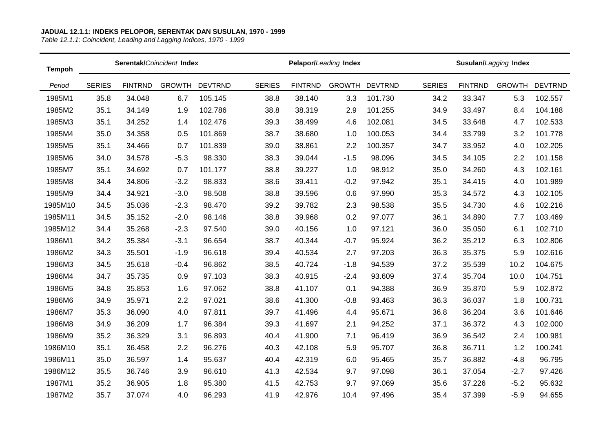| <b>Tempoh</b> |               |                | Serentak/Coincident Index |                |               |                | Pelapor/Leading Index |                |               |                | Susulan/Lagging Index |                |
|---------------|---------------|----------------|---------------------------|----------------|---------------|----------------|-----------------------|----------------|---------------|----------------|-----------------------|----------------|
| Period        | <b>SERIES</b> | <b>FINTRND</b> | <b>GROWTH</b>             | <b>DEVTRND</b> | <b>SERIES</b> | <b>FINTRND</b> | <b>GROWTH</b>         | <b>DEVTRND</b> | <b>SERIES</b> | <b>FINTRND</b> | <b>GROWTH</b>         | <b>DEVTRND</b> |
| 1985M1        | 35.8          | 34.048         | 6.7                       | 105.145        | 38.8          | 38.140         | 3.3                   | 101.730        | 34.2          | 33.347         | 5.3                   | 102.557        |
| 1985M2        | 35.1          | 34.149         | 1.9                       | 102.786        | 38.8          | 38.319         | 2.9                   | 101.255        | 34.9          | 33.497         | 8.4                   | 104.188        |
| 1985M3        | 35.1          | 34.252         | 1.4                       | 102.476        | 39.3          | 38.499         | 4.6                   | 102.081        | 34.5          | 33.648         | 4.7                   | 102.533        |
| 1985M4        | 35.0          | 34.358         | 0.5                       | 101.869        | 38.7          | 38.680         | 1.0                   | 100.053        | 34.4          | 33.799         | 3.2                   | 101.778        |
| 1985M5        | 35.1          | 34.466         | 0.7                       | 101.839        | 39.0          | 38.861         | 2.2                   | 100.357        | 34.7          | 33.952         | 4.0                   | 102.205        |
| 1985M6        | 34.0          | 34.578         | $-5.3$                    | 98.330         | 38.3          | 39.044         | $-1.5$                | 98.096         | 34.5          | 34.105         | 2.2                   | 101.158        |
| 1985M7        | 35.1          | 34.692         | 0.7                       | 101.177        | 38.8          | 39.227         | 1.0                   | 98.912         | 35.0          | 34.260         | 4.3                   | 102.161        |
| 1985M8        | 34.4          | 34.806         | $-3.2$                    | 98.833         | 38.6          | 39.411         | $-0.2$                | 97.942         | 35.1          | 34.415         | 4.0                   | 101.989        |
| 1985M9        | 34.4          | 34.921         | $-3.0$                    | 98.508         | 38.8          | 39.596         | 0.6                   | 97.990         | 35.3          | 34.572         | 4.3                   | 102.105        |
| 1985M10       | 34.5          | 35.036         | $-2.3$                    | 98.470         | 39.2          | 39.782         | 2.3                   | 98.538         | 35.5          | 34.730         | 4.6                   | 102.216        |
| 1985M11       | 34.5          | 35.152         | $-2.0$                    | 98.146         | 38.8          | 39.968         | 0.2                   | 97.077         | 36.1          | 34.890         | 7.7                   | 103.469        |
| 1985M12       | 34.4          | 35.268         | $-2.3$                    | 97.540         | 39.0          | 40.156         | 1.0                   | 97.121         | 36.0          | 35.050         | 6.1                   | 102.710        |
| 1986M1        | 34.2          | 35.384         | $-3.1$                    | 96.654         | 38.7          | 40.344         | $-0.7$                | 95.924         | 36.2          | 35.212         | 6.3                   | 102.806        |
| 1986M2        | 34.3          | 35.501         | $-1.9$                    | 96.618         | 39.4          | 40.534         | 2.7                   | 97.203         | 36.3          | 35.375         | 5.9                   | 102.616        |
| 1986M3        | 34.5          | 35.618         | $-0.4$                    | 96.862         | 38.5          | 40.724         | $-1.8$                | 94.539         | 37.2          | 35.539         | 10.2                  | 104.675        |
| 1986M4        | 34.7          | 35.735         | 0.9                       | 97.103         | 38.3          | 40.915         | $-2.4$                | 93.609         | 37.4          | 35.704         | 10.0                  | 104.751        |
| 1986M5        | 34.8          | 35.853         | 1.6                       | 97.062         | 38.8          | 41.107         | 0.1                   | 94.388         | 36.9          | 35.870         | 5.9                   | 102.872        |
| 1986M6        | 34.9          | 35.971         | 2.2                       | 97.021         | 38.6          | 41.300         | $-0.8$                | 93.463         | 36.3          | 36.037         | 1.8                   | 100.731        |
| 1986M7        | 35.3          | 36.090         | 4.0                       | 97.811         | 39.7          | 41.496         | 4.4                   | 95.671         | 36.8          | 36.204         | 3.6                   | 101.646        |
| 1986M8        | 34.9          | 36.209         | 1.7                       | 96.384         | 39.3          | 41.697         | 2.1                   | 94.252         | 37.1          | 36.372         | 4.3                   | 102.000        |
| 1986M9        | 35.2          | 36.329         | 3.1                       | 96.893         | 40.4          | 41.900         | 7.1                   | 96.419         | 36.9          | 36.542         | 2.4                   | 100.981        |
| 1986M10       | 35.1          | 36.458         | 2.2                       | 96.276         | 40.3          | 42.108         | 5.9                   | 95.707         | 36.8          | 36.711         | 1.2                   | 100.241        |
| 1986M11       | 35.0          | 36.597         | 1.4                       | 95.637         | 40.4          | 42.319         | 6.0                   | 95.465         | 35.7          | 36.882         | $-4.8$                | 96.795         |
| 1986M12       | 35.5          | 36.746         | 3.9                       | 96.610         | 41.3          | 42.534         | 9.7                   | 97.098         | 36.1          | 37.054         | $-2.7$                | 97.426         |
| 1987M1        | 35.2          | 36.905         | 1.8                       | 95.380         | 41.5          | 42.753         | 9.7                   | 97.069         | 35.6          | 37.226         | $-5.2$                | 95.632         |
| 1987M2        | 35.7          | 37.074         | 4.0                       | 96.293         | 41.9          | 42.976         | 10.4                  | 97.496         | 35.4          | 37.399         | $-5.9$                | 94.655         |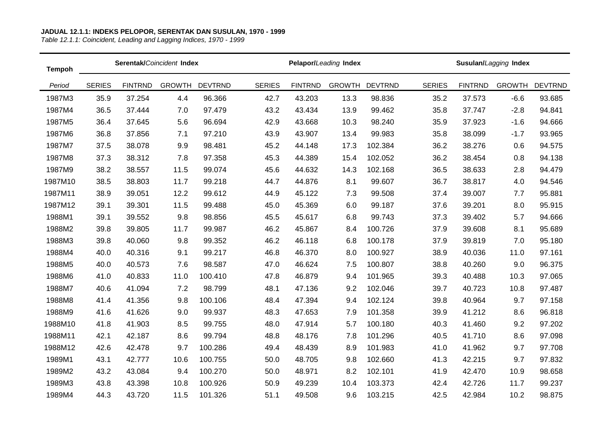| <b>Tempoh</b> |               |                | Serentak/Coincident Index |                |               |                | Pelapor/Leading Index |                |               |                | Susulan/Lagging Index |                |
|---------------|---------------|----------------|---------------------------|----------------|---------------|----------------|-----------------------|----------------|---------------|----------------|-----------------------|----------------|
| Period        | <b>SERIES</b> | <b>FINTRND</b> | <b>GROWTH</b>             | <b>DEVTRND</b> | <b>SERIES</b> | <b>FINTRND</b> | <b>GROWTH</b>         | <b>DEVTRND</b> | <b>SERIES</b> | <b>FINTRND</b> | <b>GROWTH</b>         | <b>DEVTRND</b> |
| 1987M3        | 35.9          | 37.254         | 4.4                       | 96.366         | 42.7          | 43.203         | 13.3                  | 98.836         | 35.2          | 37.573         | $-6.6$                | 93.685         |
| 1987M4        | 36.5          | 37.444         | 7.0                       | 97.479         | 43.2          | 43.434         | 13.9                  | 99.462         | 35.8          | 37.747         | $-2.8$                | 94.841         |
| 1987M5        | 36.4          | 37.645         | 5.6                       | 96.694         | 42.9          | 43.668         | 10.3                  | 98.240         | 35.9          | 37.923         | $-1.6$                | 94.666         |
| 1987M6        | 36.8          | 37.856         | 7.1                       | 97.210         | 43.9          | 43.907         | 13.4                  | 99.983         | 35.8          | 38.099         | $-1.7$                | 93.965         |
| 1987M7        | 37.5          | 38.078         | 9.9                       | 98.481         | 45.2          | 44.148         | 17.3                  | 102.384        | 36.2          | 38.276         | 0.6                   | 94.575         |
| 1987M8        | 37.3          | 38.312         | 7.8                       | 97.358         | 45.3          | 44.389         | 15.4                  | 102.052        | 36.2          | 38.454         | 0.8                   | 94.138         |
| 1987M9        | 38.2          | 38.557         | 11.5                      | 99.074         | 45.6          | 44.632         | 14.3                  | 102.168        | 36.5          | 38.633         | 2.8                   | 94.479         |
| 1987M10       | 38.5          | 38.803         | 11.7                      | 99.218         | 44.7          | 44.876         | 8.1                   | 99.607         | 36.7          | 38.817         | 4.0                   | 94.546         |
| 1987M11       | 38.9          | 39.051         | 12.2                      | 99.612         | 44.9          | 45.122         | 7.3                   | 99.508         | 37.4          | 39.007         | 7.7                   | 95.881         |
| 1987M12       | 39.1          | 39.301         | 11.5                      | 99.488         | 45.0          | 45.369         | 6.0                   | 99.187         | 37.6          | 39.201         | 8.0                   | 95.915         |
| 1988M1        | 39.1          | 39.552         | 9.8                       | 98.856         | 45.5          | 45.617         | 6.8                   | 99.743         | 37.3          | 39.402         | 5.7                   | 94.666         |
| 1988M2        | 39.8          | 39.805         | 11.7                      | 99.987         | 46.2          | 45.867         | 8.4                   | 100.726        | 37.9          | 39.608         | 8.1                   | 95.689         |
| 1988M3        | 39.8          | 40.060         | 9.8                       | 99.352         | 46.2          | 46.118         | 6.8                   | 100.178        | 37.9          | 39.819         | 7.0                   | 95.180         |
| 1988M4        | 40.0          | 40.316         | 9.1                       | 99.217         | 46.8          | 46.370         | 8.0                   | 100.927        | 38.9          | 40.036         | 11.0                  | 97.161         |
| 1988M5        | 40.0          | 40.573         | 7.6                       | 98.587         | 47.0          | 46.624         | 7.5                   | 100.807        | 38.8          | 40.260         | 9.0                   | 96.375         |
| 1988M6        | 41.0          | 40.833         | 11.0                      | 100.410        | 47.8          | 46.879         | 9.4                   | 101.965        | 39.3          | 40.488         | 10.3                  | 97.065         |
| 1988M7        | 40.6          | 41.094         | 7.2                       | 98.799         | 48.1          | 47.136         | 9.2                   | 102.046        | 39.7          | 40.723         | 10.8                  | 97.487         |
| 1988M8        | 41.4          | 41.356         | 9.8                       | 100.106        | 48.4          | 47.394         | 9.4                   | 102.124        | 39.8          | 40.964         | 9.7                   | 97.158         |
| 1988M9        | 41.6          | 41.626         | 9.0                       | 99.937         | 48.3          | 47.653         | 7.9                   | 101.358        | 39.9          | 41.212         | 8.6                   | 96.818         |
| 1988M10       | 41.8          | 41.903         | 8.5                       | 99.755         | 48.0          | 47.914         | 5.7                   | 100.180        | 40.3          | 41.460         | 9.2                   | 97.202         |
| 1988M11       | 42.1          | 42.187         | 8.6                       | 99.794         | 48.8          | 48.176         | 7.8                   | 101.296        | 40.5          | 41.710         | 8.6                   | 97.098         |
| 1988M12       | 42.6          | 42.478         | 9.7                       | 100.286        | 49.4          | 48.439         | 8.9                   | 101.983        | 41.0          | 41.962         | 9.7                   | 97.708         |
| 1989M1        | 43.1          | 42.777         | 10.6                      | 100.755        | 50.0          | 48.705         | 9.8                   | 102.660        | 41.3          | 42.215         | 9.7                   | 97.832         |
| 1989M2        | 43.2          | 43.084         | 9.4                       | 100.270        | 50.0          | 48.971         | 8.2                   | 102.101        | 41.9          | 42.470         | 10.9                  | 98.658         |
| 1989M3        | 43.8          | 43.398         | 10.8                      | 100.926        | 50.9          | 49.239         | 10.4                  | 103.373        | 42.4          | 42.726         | 11.7                  | 99.237         |
| 1989M4        | 44.3          | 43.720         | 11.5                      | 101.326        | 51.1          | 49.508         | 9.6                   | 103.215        | 42.5          | 42.984         | 10.2                  | 98.875         |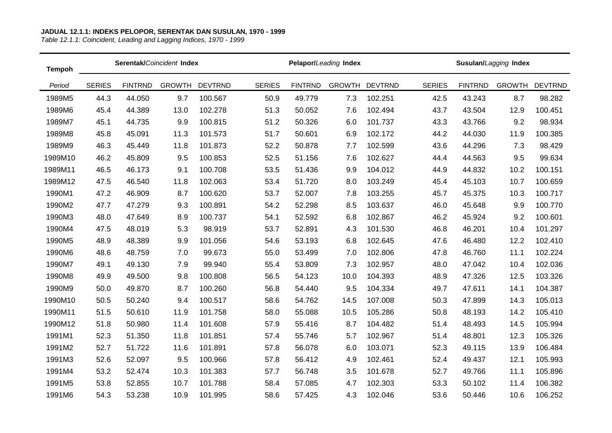| <b>Tempoh</b> |               |                | Serentak/Coincident Index |                |               |                | Pelapor/Leading Index |                |               |                | Susulan/Lagging Index |                |
|---------------|---------------|----------------|---------------------------|----------------|---------------|----------------|-----------------------|----------------|---------------|----------------|-----------------------|----------------|
| Period        | <b>SERIES</b> | <b>FINTRND</b> | <b>GROWTH</b>             | <b>DEVTRND</b> | <b>SERIES</b> | <b>FINTRND</b> | <b>GROWTH</b>         | <b>DEVTRND</b> | <b>SERIES</b> | <b>FINTRND</b> | <b>GROWTH</b>         | <b>DEVTRND</b> |
| 1989M5        | 44.3          | 44.050         | 9.7                       | 100.567        | 50.9          | 49.779         | 7.3                   | 102.251        | 42.5          | 43.243         | 8.7                   | 98.282         |
| 1989M6        | 45.4          | 44.389         | 13.0                      | 102.278        | 51.3          | 50.052         | 7.6                   | 102.494        | 43.7          | 43.504         | 12.9                  | 100.451        |
| 1989M7        | 45.1          | 44.735         | 9.9                       | 100.815        | 51.2          | 50.326         | 6.0                   | 101.737        | 43.3          | 43.766         | 9.2                   | 98.934         |
| 1989M8        | 45.8          | 45.091         | 11.3                      | 101.573        | 51.7          | 50.601         | 6.9                   | 102.172        | 44.2          | 44.030         | 11.9                  | 100.385        |
| 1989M9        | 46.3          | 45.449         | 11.8                      | 101.873        | 52.2          | 50.878         | 7.7                   | 102.599        | 43.6          | 44.296         | 7.3                   | 98.429         |
| 1989M10       | 46.2          | 45.809         | 9.5                       | 100.853        | 52.5          | 51.156         | 7.6                   | 102.627        | 44.4          | 44.563         | 9.5                   | 99.634         |
| 1989M11       | 46.5          | 46.173         | 9.1                       | 100.708        | 53.5          | 51.436         | 9.9                   | 104.012        | 44.9          | 44.832         | 10.2                  | 100.151        |
| 1989M12       | 47.5          | 46.540         | 11.8                      | 102.063        | 53.4          | 51.720         | 8.0                   | 103.249        | 45.4          | 45.103         | 10.7                  | 100.659        |
| 1990M1        | 47.2          | 46.909         | 8.7                       | 100.620        | 53.7          | 52.007         | 7.8                   | 103.255        | 45.7          | 45.375         | 10.3                  | 100.717        |
| 1990M2        | 47.7          | 47.279         | 9.3                       | 100.891        | 54.2          | 52.298         | 8.5                   | 103.637        | 46.0          | 45.648         | 9.9                   | 100.770        |
| 1990M3        | 48.0          | 47.649         | 8.9                       | 100.737        | 54.1          | 52.592         | 6.8                   | 102.867        | 46.2          | 45.924         | 9.2                   | 100.601        |
| 1990M4        | 47.5          | 48.019         | 5.3                       | 98.919         | 53.7          | 52.891         | 4.3                   | 101.530        | 46.8          | 46.201         | 10.4                  | 101.297        |
| 1990M5        | 48.9          | 48.389         | 9.9                       | 101.056        | 54.6          | 53.193         | 6.8                   | 102.645        | 47.6          | 46.480         | 12.2                  | 102.410        |
| 1990M6        | 48.6          | 48.759         | 7.0                       | 99.673         | 55.0          | 53.499         | 7.0                   | 102.806        | 47.8          | 46.760         | 11.1                  | 102.224        |
| 1990M7        | 49.1          | 49.130         | 7.9                       | 99.940         | 55.4          | 53.809         | 7.3                   | 102.957        | 48.0          | 47.042         | 10.4                  | 102.036        |
| 1990M8        | 49.9          | 49.500         | 9.8                       | 100.808        | 56.5          | 54.123         | 10.0                  | 104.393        | 48.9          | 47.326         | 12.5                  | 103.326        |
| 1990M9        | 50.0          | 49.870         | 8.7                       | 100.260        | 56.8          | 54.440         | 9.5                   | 104.334        | 49.7          | 47.611         | 14.1                  | 104.387        |
| 1990M10       | 50.5          | 50.240         | 9.4                       | 100.517        | 58.6          | 54.762         | 14.5                  | 107.008        | 50.3          | 47.899         | 14.3                  | 105.013        |
| 1990M11       | 51.5          | 50.610         | 11.9                      | 101.758        | 58.0          | 55.088         | 10.5                  | 105.286        | 50.8          | 48.193         | 14.2                  | 105.410        |
| 1990M12       | 51.8          | 50.980         | 11.4                      | 101.608        | 57.9          | 55.416         | 8.7                   | 104.482        | 51.4          | 48.493         | 14.5                  | 105.994        |
| 1991M1        | 52.3          | 51.350         | 11.8                      | 101.851        | 57.4          | 55.746         | 5.7                   | 102.967        | 51.4          | 48.801         | 12.3                  | 105.326        |
| 1991M2        | 52.7          | 51.722         | 11.6                      | 101.891        | 57.8          | 56.078         | 6.0                   | 103.071        | 52.3          | 49.115         | 13.9                  | 106.484        |
| 1991M3        | 52.6          | 52.097         | 9.5                       | 100.966        | 57.8          | 56.412         | 4.9                   | 102.461        | 52.4          | 49.437         | 12.1                  | 105.993        |
| 1991M4        | 53.2          | 52.474         | 10.3                      | 101.383        | 57.7          | 56.748         | 3.5                   | 101.678        | 52.7          | 49.766         | 11.1                  | 105.896        |
| 1991M5        | 53.8          | 52.855         | 10.7                      | 101.788        | 58.4          | 57.085         | 4.7                   | 102.303        | 53.3          | 50.102         | 11.4                  | 106.382        |
| 1991M6        | 54.3          | 53.238         | 10.9                      | 101.995        | 58.6          | 57.425         | 4.3                   | 102.046        | 53.6          | 50.446         | 10.6                  | 106.252        |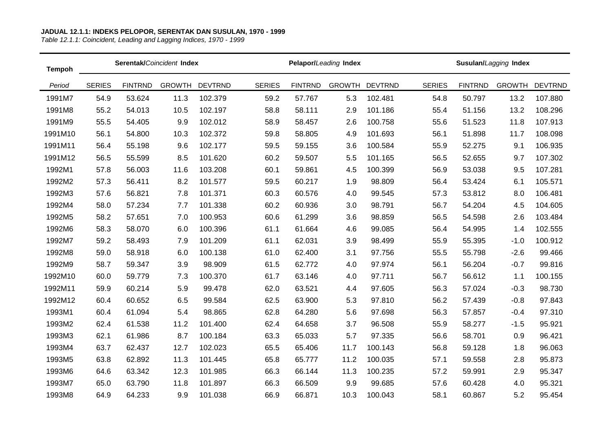| <b>Tempoh</b> |               |                | Serentak/Coincident Index |                |               |                | Pelapor/Leading Index |                |               |                | Susulan/Lagging Index |                |
|---------------|---------------|----------------|---------------------------|----------------|---------------|----------------|-----------------------|----------------|---------------|----------------|-----------------------|----------------|
| Period        | <b>SERIES</b> | <b>FINTRND</b> | <b>GROWTH</b>             | <b>DEVTRND</b> | <b>SERIES</b> | <b>FINTRND</b> | <b>GROWTH</b>         | <b>DEVTRND</b> | <b>SERIES</b> | <b>FINTRND</b> | <b>GROWTH</b>         | <b>DEVTRND</b> |
| 1991M7        | 54.9          | 53.624         | 11.3                      | 102.379        | 59.2          | 57.767         | 5.3                   | 102.481        | 54.8          | 50.797         | 13.2                  | 107.880        |
| 1991M8        | 55.2          | 54.013         | 10.5                      | 102.197        | 58.8          | 58.111         | 2.9                   | 101.186        | 55.4          | 51.156         | 13.2                  | 108.296        |
| 1991M9        | 55.5          | 54.405         | 9.9                       | 102.012        | 58.9          | 58.457         | 2.6                   | 100.758        | 55.6          | 51.523         | 11.8                  | 107.913        |
| 1991M10       | 56.1          | 54.800         | 10.3                      | 102.372        | 59.8          | 58.805         | 4.9                   | 101.693        | 56.1          | 51.898         | 11.7                  | 108.098        |
| 1991M11       | 56.4          | 55.198         | 9.6                       | 102.177        | 59.5          | 59.155         | 3.6                   | 100.584        | 55.9          | 52.275         | 9.1                   | 106.935        |
| 1991M12       | 56.5          | 55.599         | 8.5                       | 101.620        | 60.2          | 59.507         | 5.5                   | 101.165        | 56.5          | 52.655         | 9.7                   | 107.302        |
| 1992M1        | 57.8          | 56.003         | 11.6                      | 103.208        | 60.1          | 59.861         | 4.5                   | 100.399        | 56.9          | 53.038         | 9.5                   | 107.281        |
| 1992M2        | 57.3          | 56.411         | 8.2                       | 101.577        | 59.5          | 60.217         | 1.9                   | 98.809         | 56.4          | 53.424         | 6.1                   | 105.571        |
| 1992M3        | 57.6          | 56.821         | 7.8                       | 101.371        | 60.3          | 60.576         | 4.0                   | 99.545         | 57.3          | 53.812         | 8.0                   | 106.481        |
| 1992M4        | 58.0          | 57.234         | 7.7                       | 101.338        | 60.2          | 60.936         | 3.0                   | 98.791         | 56.7          | 54.204         | 4.5                   | 104.605        |
| 1992M5        | 58.2          | 57.651         | 7.0                       | 100.953        | 60.6          | 61.299         | 3.6                   | 98.859         | 56.5          | 54.598         | 2.6                   | 103.484        |
| 1992M6        | 58.3          | 58.070         | 6.0                       | 100.396        | 61.1          | 61.664         | 4.6                   | 99.085         | 56.4          | 54.995         | 1.4                   | 102.555        |
| 1992M7        | 59.2          | 58.493         | 7.9                       | 101.209        | 61.1          | 62.031         | 3.9                   | 98.499         | 55.9          | 55.395         | $-1.0$                | 100.912        |
| 1992M8        | 59.0          | 58.918         | 6.0                       | 100.138        | 61.0          | 62.400         | 3.1                   | 97.756         | 55.5          | 55.798         | $-2.6$                | 99.466         |
| 1992M9        | 58.7          | 59.347         | 3.9                       | 98.909         | 61.5          | 62.772         | 4.0                   | 97.974         | 56.1          | 56.204         | $-0.7$                | 99.816         |
| 1992M10       | 60.0          | 59.779         | 7.3                       | 100.370        | 61.7          | 63.146         | 4.0                   | 97.711         | 56.7          | 56.612         | 1.1                   | 100.155        |
| 1992M11       | 59.9          | 60.214         | 5.9                       | 99.478         | 62.0          | 63.521         | 4.4                   | 97.605         | 56.3          | 57.024         | $-0.3$                | 98.730         |
| 1992M12       | 60.4          | 60.652         | 6.5                       | 99.584         | 62.5          | 63.900         | 5.3                   | 97.810         | 56.2          | 57.439         | $-0.8$                | 97.843         |
| 1993M1        | 60.4          | 61.094         | 5.4                       | 98.865         | 62.8          | 64.280         | 5.6                   | 97.698         | 56.3          | 57.857         | $-0.4$                | 97.310         |
| 1993M2        | 62.4          | 61.538         | 11.2                      | 101.400        | 62.4          | 64.658         | 3.7                   | 96.508         | 55.9          | 58.277         | $-1.5$                | 95.921         |
| 1993M3        | 62.1          | 61.986         | 8.7                       | 100.184        | 63.3          | 65.033         | 5.7                   | 97.335         | 56.6          | 58.701         | 0.9                   | 96.421         |
| 1993M4        | 63.7          | 62.437         | 12.7                      | 102.023        | 65.5          | 65.406         | 11.7                  | 100.143        | 56.8          | 59.128         | 1.8                   | 96.063         |
| 1993M5        | 63.8          | 62.892         | 11.3                      | 101.445        | 65.8          | 65.777         | 11.2                  | 100.035        | 57.1          | 59.558         | 2.8                   | 95.873         |
| 1993M6        | 64.6          | 63.342         | 12.3                      | 101.985        | 66.3          | 66.144         | 11.3                  | 100.235        | 57.2          | 59.991         | 2.9                   | 95.347         |
| 1993M7        | 65.0          | 63.790         | 11.8                      | 101.897        | 66.3          | 66.509         | 9.9                   | 99.685         | 57.6          | 60.428         | 4.0                   | 95.321         |
| 1993M8        | 64.9          | 64.233         | 9.9                       | 101.038        | 66.9          | 66.871         | 10.3                  | 100.043        | 58.1          | 60.867         | 5.2                   | 95.454         |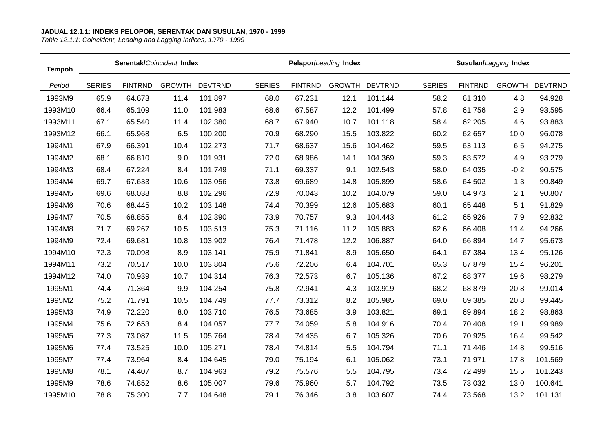| <b>Tempoh</b> |               |                | Serentak/Coincident Index |                |               |                | Pelapor/Leading Index |                |               |                | Susulan/Lagging Index |                |
|---------------|---------------|----------------|---------------------------|----------------|---------------|----------------|-----------------------|----------------|---------------|----------------|-----------------------|----------------|
| Period        | <b>SERIES</b> | <b>FINTRND</b> | <b>GROWTH</b>             | <b>DEVTRND</b> | <b>SERIES</b> | <b>FINTRND</b> | <b>GROWTH</b>         | <b>DEVTRND</b> | <b>SERIES</b> | <b>FINTRND</b> | <b>GROWTH</b>         | <b>DEVTRND</b> |
| 1993M9        | 65.9          | 64.673         | 11.4                      | 101.897        | 68.0          | 67.231         | 12.1                  | 101.144        | 58.2          | 61.310         | 4.8                   | 94.928         |
| 1993M10       | 66.4          | 65.109         | 11.0                      | 101.983        | 68.6          | 67.587         | 12.2                  | 101.499        | 57.8          | 61.756         | 2.9                   | 93.595         |
| 1993M11       | 67.1          | 65.540         | 11.4                      | 102.380        | 68.7          | 67.940         | 10.7                  | 101.118        | 58.4          | 62.205         | 4.6                   | 93.883         |
| 1993M12       | 66.1          | 65.968         | 6.5                       | 100.200        | 70.9          | 68.290         | 15.5                  | 103.822        | 60.2          | 62.657         | 10.0                  | 96.078         |
| 1994M1        | 67.9          | 66.391         | 10.4                      | 102.273        | 71.7          | 68.637         | 15.6                  | 104.462        | 59.5          | 63.113         | 6.5                   | 94.275         |
| 1994M2        | 68.1          | 66.810         | 9.0                       | 101.931        | 72.0          | 68.986         | 14.1                  | 104.369        | 59.3          | 63.572         | 4.9                   | 93.279         |
| 1994M3        | 68.4          | 67.224         | 8.4                       | 101.749        | 71.1          | 69.337         | 9.1                   | 102.543        | 58.0          | 64.035         | $-0.2$                | 90.575         |
| 1994M4        | 69.7          | 67.633         | 10.6                      | 103.056        | 73.8          | 69.689         | 14.8                  | 105.899        | 58.6          | 64.502         | 1.3                   | 90.849         |
| 1994M5        | 69.6          | 68.038         | 8.8                       | 102.296        | 72.9          | 70.043         | 10.2                  | 104.079        | 59.0          | 64.973         | 2.1                   | 90.807         |
| 1994M6        | 70.6          | 68.445         | 10.2                      | 103.148        | 74.4          | 70.399         | 12.6                  | 105.683        | 60.1          | 65.448         | 5.1                   | 91.829         |
| 1994M7        | 70.5          | 68.855         | 8.4                       | 102.390        | 73.9          | 70.757         | 9.3                   | 104.443        | 61.2          | 65.926         | 7.9                   | 92.832         |
| 1994M8        | 71.7          | 69.267         | 10.5                      | 103.513        | 75.3          | 71.116         | 11.2                  | 105.883        | 62.6          | 66.408         | 11.4                  | 94.266         |
| 1994M9        | 72.4          | 69.681         | 10.8                      | 103.902        | 76.4          | 71.478         | 12.2                  | 106.887        | 64.0          | 66.894         | 14.7                  | 95.673         |
| 1994M10       | 72.3          | 70.098         | 8.9                       | 103.141        | 75.9          | 71.841         | 8.9                   | 105.650        | 64.1          | 67.384         | 13.4                  | 95.126         |
| 1994M11       | 73.2          | 70.517         | 10.0                      | 103.804        | 75.6          | 72.206         | 6.4                   | 104.701        | 65.3          | 67.879         | 15.4                  | 96.201         |
| 1994M12       | 74.0          | 70.939         | 10.7                      | 104.314        | 76.3          | 72.573         | 6.7                   | 105.136        | 67.2          | 68.377         | 19.6                  | 98.279         |
| 1995M1        | 74.4          | 71.364         | 9.9                       | 104.254        | 75.8          | 72.941         | 4.3                   | 103.919        | 68.2          | 68.879         | 20.8                  | 99.014         |
| 1995M2        | 75.2          | 71.791         | 10.5                      | 104.749        | 77.7          | 73.312         | 8.2                   | 105.985        | 69.0          | 69.385         | 20.8                  | 99.445         |
| 1995M3        | 74.9          | 72.220         | 8.0                       | 103.710        | 76.5          | 73.685         | 3.9                   | 103.821        | 69.1          | 69.894         | 18.2                  | 98.863         |
| 1995M4        | 75.6          | 72.653         | 8.4                       | 104.057        | 77.7          | 74.059         | 5.8                   | 104.916        | 70.4          | 70.408         | 19.1                  | 99.989         |
| 1995M5        | 77.3          | 73.087         | 11.5                      | 105.764        | 78.4          | 74.435         | 6.7                   | 105.326        | 70.6          | 70.925         | 16.4                  | 99.542         |
| 1995M6        | 77.4          | 73.525         | 10.0                      | 105.271        | 78.4          | 74.814         | 5.5                   | 104.794        | 71.1          | 71.446         | 14.8                  | 99.516         |
| 1995M7        | 77.4          | 73.964         | 8.4                       | 104.645        | 79.0          | 75.194         | 6.1                   | 105.062        | 73.1          | 71.971         | 17.8                  | 101.569        |
| 1995M8        | 78.1          | 74.407         | 8.7                       | 104.963        | 79.2          | 75.576         | 5.5                   | 104.795        | 73.4          | 72.499         | 15.5                  | 101.243        |
| 1995M9        | 78.6          | 74.852         | 8.6                       | 105.007        | 79.6          | 75.960         | 5.7                   | 104.792        | 73.5          | 73.032         | 13.0                  | 100.641        |
| 1995M10       | 78.8          | 75.300         | 7.7                       | 104.648        | 79.1          | 76.346         | 3.8                   | 103.607        | 74.4          | 73.568         | 13.2                  | 101.131        |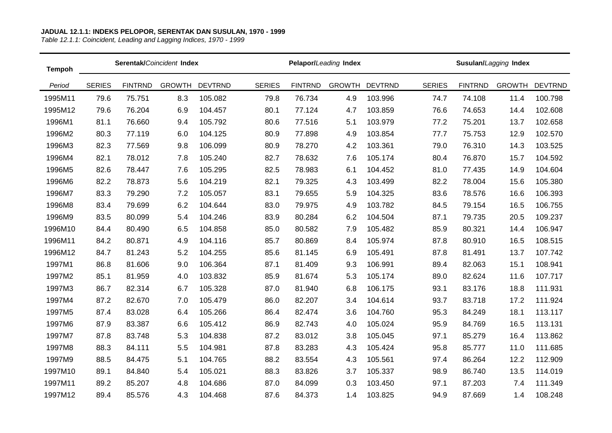| <b>Tempoh</b> | Serentak/Coincident Index |                |               |                |               |                | Pelapor/Leading Index |                |               | Susulan/Lagging Index |               |                |  |
|---------------|---------------------------|----------------|---------------|----------------|---------------|----------------|-----------------------|----------------|---------------|-----------------------|---------------|----------------|--|
| Period        | <b>SERIES</b>             | <b>FINTRND</b> | <b>GROWTH</b> | <b>DEVTRND</b> | <b>SERIES</b> | <b>FINTRND</b> | <b>GROWTH</b>         | <b>DEVTRND</b> | <b>SERIES</b> | <b>FINTRND</b>        | <b>GROWTH</b> | <b>DEVTRND</b> |  |
| 1995M11       | 79.6                      | 75.751         | 8.3           | 105.082        | 79.8          | 76.734         | 4.9                   | 103.996        | 74.7          | 74.108                | 11.4          | 100.798        |  |
| 1995M12       | 79.6                      | 76.204         | 6.9           | 104.457        | 80.1          | 77.124         | 4.7                   | 103.859        | 76.6          | 74.653                | 14.4          | 102.608        |  |
| 1996M1        | 81.1                      | 76.660         | 9.4           | 105.792        | 80.6          | 77.516         | 5.1                   | 103.979        | 77.2          | 75.201                | 13.7          | 102.658        |  |
| 1996M2        | 80.3                      | 77.119         | 6.0           | 104.125        | 80.9          | 77.898         | 4.9                   | 103.854        | 77.7          | 75.753                | 12.9          | 102.570        |  |
| 1996M3        | 82.3                      | 77.569         | 9.8           | 106.099        | 80.9          | 78.270         | 4.2                   | 103.361        | 79.0          | 76.310                | 14.3          | 103.525        |  |
| 1996M4        | 82.1                      | 78.012         | 7.8           | 105.240        | 82.7          | 78.632         | 7.6                   | 105.174        | 80.4          | 76.870                | 15.7          | 104.592        |  |
| 1996M5        | 82.6                      | 78.447         | 7.6           | 105.295        | 82.5          | 78.983         | 6.1                   | 104.452        | 81.0          | 77.435                | 14.9          | 104.604        |  |
| 1996M6        | 82.2                      | 78.873         | 5.6           | 104.219        | 82.1          | 79.325         | 4.3                   | 103.499        | 82.2          | 78.004                | 15.6          | 105.380        |  |
| 1996M7        | 83.3                      | 79.290         | 7.2           | 105.057        | 83.1          | 79.655         | 5.9                   | 104.325        | 83.6          | 78.576                | 16.6          | 106.393        |  |
| 1996M8        | 83.4                      | 79.699         | 6.2           | 104.644        | 83.0          | 79.975         | 4.9                   | 103.782        | 84.5          | 79.154                | 16.5          | 106.755        |  |
| 1996M9        | 83.5                      | 80.099         | 5.4           | 104.246        | 83.9          | 80.284         | 6.2                   | 104.504        | 87.1          | 79.735                | 20.5          | 109.237        |  |
| 1996M10       | 84.4                      | 80.490         | 6.5           | 104.858        | 85.0          | 80.582         | 7.9                   | 105.482        | 85.9          | 80.321                | 14.4          | 106.947        |  |
| 1996M11       | 84.2                      | 80.871         | 4.9           | 104.116        | 85.7          | 80.869         | 8.4                   | 105.974        | 87.8          | 80.910                | 16.5          | 108.515        |  |
| 1996M12       | 84.7                      | 81.243         | 5.2           | 104.255        | 85.6          | 81.145         | 6.9                   | 105.491        | 87.8          | 81.491                | 13.7          | 107.742        |  |
| 1997M1        | 86.8                      | 81.606         | 9.0           | 106.364        | 87.1          | 81.409         | 9.3                   | 106.991        | 89.4          | 82.063                | 15.1          | 108.941        |  |
| 1997M2        | 85.1                      | 81.959         | 4.0           | 103.832        | 85.9          | 81.674         | 5.3                   | 105.174        | 89.0          | 82.624                | 11.6          | 107.717        |  |
| 1997M3        | 86.7                      | 82.314         | 6.7           | 105.328        | 87.0          | 81.940         | 6.8                   | 106.175        | 93.1          | 83.176                | 18.8          | 111.931        |  |
| 1997M4        | 87.2                      | 82.670         | 7.0           | 105.479        | 86.0          | 82.207         | 3.4                   | 104.614        | 93.7          | 83.718                | 17.2          | 111.924        |  |
| 1997M5        | 87.4                      | 83.028         | 6.4           | 105.266        | 86.4          | 82.474         | 3.6                   | 104.760        | 95.3          | 84.249                | 18.1          | 113.117        |  |
| 1997M6        | 87.9                      | 83.387         | 6.6           | 105.412        | 86.9          | 82.743         | 4.0                   | 105.024        | 95.9          | 84.769                | 16.5          | 113.131        |  |
| 1997M7        | 87.8                      | 83.748         | 5.3           | 104.838        | 87.2          | 83.012         | 3.8                   | 105.045        | 97.1          | 85.279                | 16.4          | 113.862        |  |
| 1997M8        | 88.3                      | 84.111         | 5.5           | 104.981        | 87.8          | 83.283         | 4.3                   | 105.424        | 95.8          | 85.777                | 11.0          | 111.685        |  |
| 1997M9        | 88.5                      | 84.475         | 5.1           | 104.765        | 88.2          | 83.554         | 4.3                   | 105.561        | 97.4          | 86.264                | 12.2          | 112.909        |  |
| 1997M10       | 89.1                      | 84.840         | 5.4           | 105.021        | 88.3          | 83.826         | 3.7                   | 105.337        | 98.9          | 86.740                | 13.5          | 114.019        |  |
| 1997M11       | 89.2                      | 85.207         | 4.8           | 104.686        | 87.0          | 84.099         | 0.3                   | 103.450        | 97.1          | 87.203                | 7.4           | 111.349        |  |
| 1997M12       | 89.4                      | 85.576         | 4.3           | 104.468        | 87.6          | 84.373         | 1.4                   | 103.825        | 94.9          | 87.669                | 1.4           | 108.248        |  |